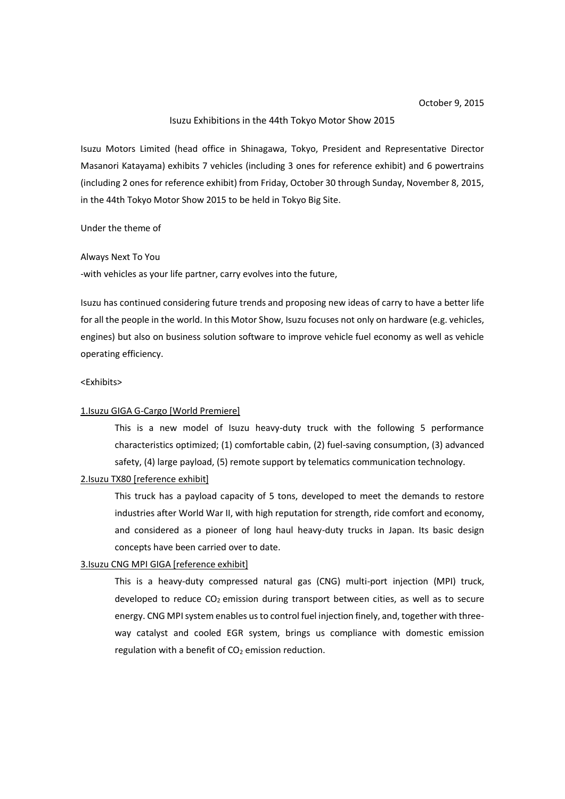### Isuzu Exhibitions in the 44th Tokyo Motor Show 2015

Isuzu Motors Limited (head office in Shinagawa, Tokyo, President and Representative Director Masanori Katayama) exhibits 7 vehicles (including 3 ones for reference exhibit) and 6 powertrains (including 2 ones for reference exhibit) from Friday, October 30 through Sunday, November 8, 2015, in the 44th Tokyo Motor Show 2015 to be held in Tokyo Big Site.

### Under the theme of

#### Always Next To You

-with vehicles as your life partner, carry evolves into the future,

Isuzu has continued considering future trends and proposing new ideas of carry to have a better life for all the people in the world. In this Motor Show, Isuzu focuses not only on hardware (e.g. vehicles, engines) but also on business solution software to improve vehicle fuel economy as well as vehicle operating efficiency.

### <Exhibits>

#### 1.Isuzu GIGA G-Cargo [World Premiere]

This is a new model of Isuzu heavy-duty truck with the following 5 performance characteristics optimized; (1) comfortable cabin, (2) fuel-saving consumption, (3) advanced safety, (4) large payload, (5) remote support by telematics communication technology.

#### 2.Isuzu TX80 [reference exhibit]

This truck has a payload capacity of 5 tons, developed to meet the demands to restore industries after World War II, with high reputation for strength, ride comfort and economy, and considered as a pioneer of long haul heavy-duty trucks in Japan. Its basic design concepts have been carried over to date.

### 3.Isuzu CNG MPI GIGA [reference exhibit]

This is a heavy-duty compressed natural gas (CNG) multi-port injection (MPI) truck, developed to reduce  $CO<sub>2</sub>$  emission during transport between cities, as well as to secure energy. CNG MPI system enables us to control fuel injection finely, and, together with threeway catalyst and cooled EGR system, brings us compliance with domestic emission regulation with a benefit of  $CO<sub>2</sub>$  emission reduction.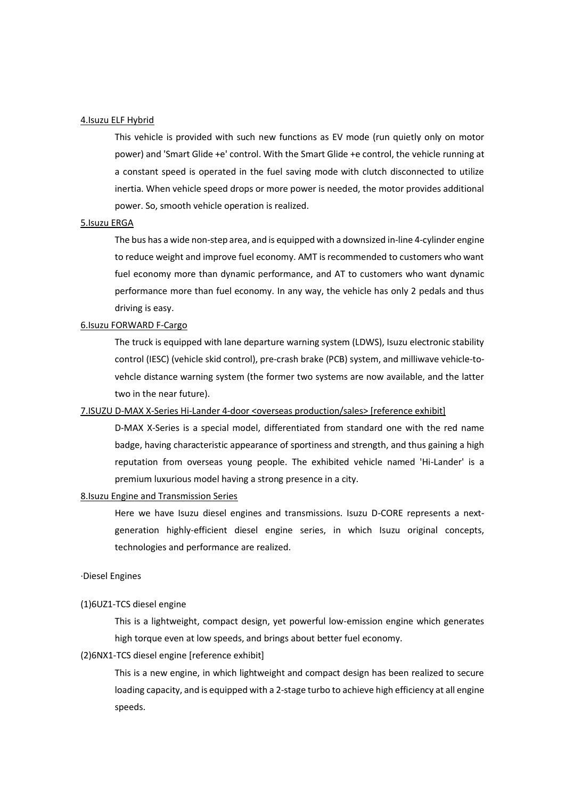### 4.Isuzu ELF Hybrid

This vehicle is provided with such new functions as EV mode (run quietly only on motor power) and 'Smart Glide +e' control. With the Smart Glide +e control, the vehicle running at a constant speed is operated in the fuel saving mode with clutch disconnected to utilize inertia. When vehicle speed drops or more power is needed, the motor provides additional power. So, smooth vehicle operation is realized.

### 5.Isuzu ERGA

The bus has a wide non-step area, and is equipped with a downsized in-line 4-cylinder engine to reduce weight and improve fuel economy. AMT is recommended to customers who want fuel economy more than dynamic performance, and AT to customers who want dynamic performance more than fuel economy. In any way, the vehicle has only 2 pedals and thus driving is easy.

#### 6.Isuzu FORWARD F-Cargo

The truck is equipped with lane departure warning system (LDWS), Isuzu electronic stability control (IESC) (vehicle skid control), pre-crash brake (PCB) system, and milliwave vehicle-tovehcle distance warning system (the former two systems are now available, and the latter two in the near future).

# 7.ISUZU D-MAX X-Series Hi-Lander 4-door < overseas production/sales> [reference exhibit]

D-MAX X-Series is a special model, differentiated from standard one with the red name badge, having characteristic appearance of sportiness and strength, and thus gaining a high reputation from overseas young people. The exhibited vehicle named 'Hi-Lander' is a premium luxurious model having a strong presence in a city.

### 8.Isuzu Engine and Transmission Series

Here we have Isuzu diesel engines and transmissions. Isuzu D-CORE represents a nextgeneration highly-efficient diesel engine series, in which Isuzu original concepts, technologies and performance are realized.

### ·Diesel Engines

#### (1)6UZ1-TCS diesel engine

This is a lightweight, compact design, yet powerful low-emission engine which generates high torque even at low speeds, and brings about better fuel economy.

#### (2)6NX1-TCS diesel engine [reference exhibit]

This is a new engine, in which lightweight and compact design has been realized to secure loading capacity, and is equipped with a 2-stage turbo to achieve high efficiency at all engine speeds.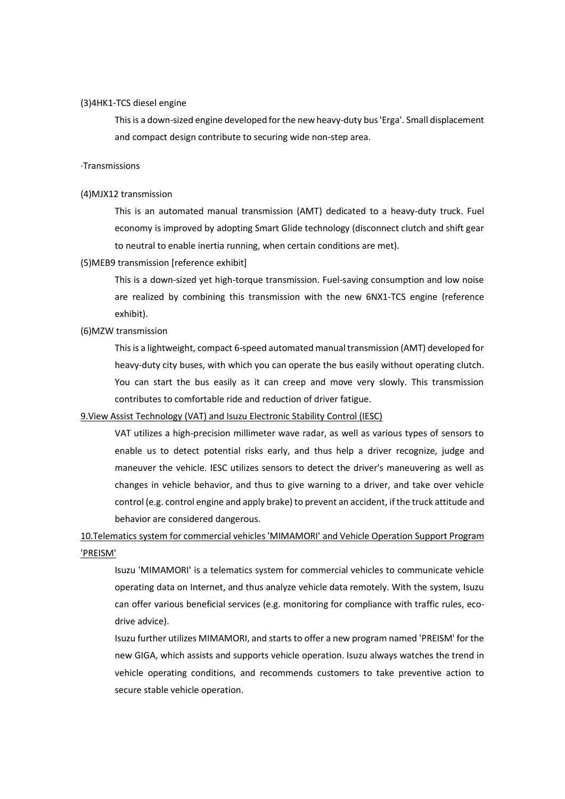#### (3)4HK1-TCS diesel engine

This is a down-sized engine developed for the new heavy-duty bus 'Erga'. Small displacement and compact design contribute to securing wide non-step area.

### ·Transmissions

#### (4)MJX12 transmission

This is an automated manual transmission (AMT) dedicated to a heavy-duty truck. Fuel economy is improved by adopting Smart Glide technology (disconnect clutch and shift gear to neutral to enable inertia running, when certain conditions are met).

#### (5)MEB9 transmission [reference exhibit]

This is a down-sized yet high-torque transmission. Fuel-saving consumption and low noise are realized by combining this transmission with the new 6NX1-TCS engine (reference exhibit).

# (6)MZW transmission

This is a lightweight, compact 6-speed automated manual transmission (AMT) developed for heavy-duty city buses, with which you can operate the bus easily without operating clutch. You can start the bus easily as it can creep and move very slowly. This transmission contributes to comfortable ride and reduction of driver fatigue.

### 9.View Assist Technology (VAT) and Isuzu Electronic Stability Control (IESC)

VAT utilizes a high-precision millimeter wave radar, as well as various types of sensors to enable us to detect potential risks early, and thus help a driver recognize, judge and maneuver the vehicle. IESC utilizes sensors to detect the driver's maneuvering as well as changes in vehicle behavior, and thus to give warning to a driver, and take over vehicle control (e.g. control engine and apply brake) to prevent an accident, if the truck attitude and behavior are considered dangerous.

# 10.Telematics system for commercial vehicles 'MIMAMORI' and Vehicle Operation Support Program 'PREISM'

Isuzu 'MIMAMORI' is a telematics system for commercial vehicles to communicate vehicle operating data on Internet, and thus analyze vehicle data remotely. With the system, Isuzu can offer various beneficial services (e.g. monitoring for compliance with traffic rules, ecodrive advice).

Isuzu further utilizes MIMAMORI, and starts to offer a new program named 'PREISM' for the new GIGA, which assists and supports vehicle operation. Isuzu always watches the trend in vehicle operating conditions, and recommends customers to take preventive action to secure stable vehicle operation.